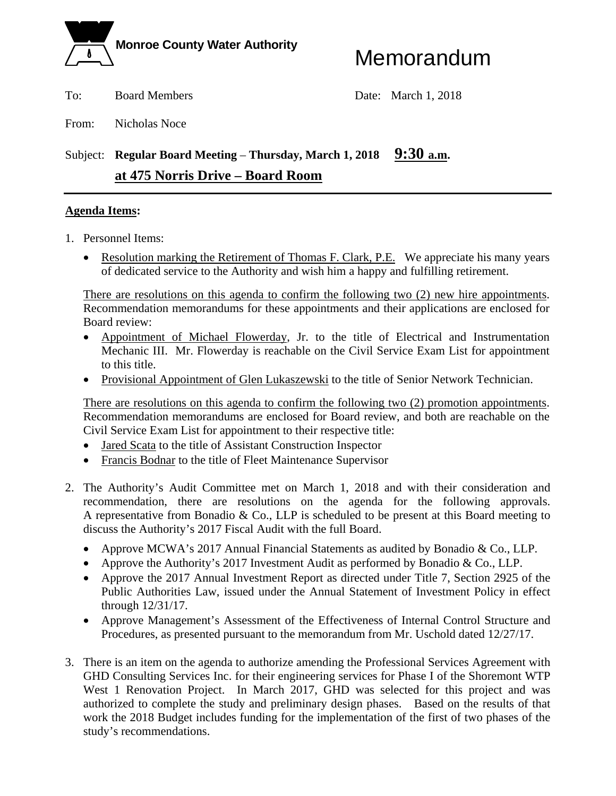

To: Board Members Date: March 1, 2018

From: Nicholas Noce

### Subject: **Regular Board Meeting** – **Thursday, March 1, 2018 9:30 a.m. at 475 Norris Drive – Board Room**

### **Agenda Items:**

- 1. Personnel Items:
	- Resolution marking the Retirement of Thomas F. Clark, P.E. We appreciate his many years of dedicated service to the Authority and wish him a happy and fulfilling retirement.

There are resolutions on this agenda to confirm the following two (2) new hire appointments. Recommendation memorandums for these appointments and their applications are enclosed for Board review:

- Appointment of Michael Flowerday, Jr. to the title of Electrical and Instrumentation Mechanic III. Mr. Flowerday is reachable on the Civil Service Exam List for appointment to this title.
- Provisional Appointment of Glen Lukaszewski to the title of Senior Network Technician.

There are resolutions on this agenda to confirm the following two (2) promotion appointments. Recommendation memorandums are enclosed for Board review, and both are reachable on the Civil Service Exam List for appointment to their respective title:

- Jared Scata to the title of Assistant Construction Inspector
- Francis Bodnar to the title of Fleet Maintenance Supervisor
- 2. The Authority's Audit Committee met on March 1, 2018 and with their consideration and recommendation, there are resolutions on the agenda for the following approvals. A representative from Bonadio & Co., LLP is scheduled to be present at this Board meeting to discuss the Authority's 2017 Fiscal Audit with the full Board.
	- Approve MCWA's 2017 Annual Financial Statements as audited by Bonadio & Co., LLP.
	- Approve the Authority's 2017 Investment Audit as performed by Bonadio & Co., LLP.
	- Approve the 2017 Annual Investment Report as directed under Title 7, Section 2925 of the Public Authorities Law, issued under the Annual Statement of Investment Policy in effect through 12/31/17.
	- Approve Management's Assessment of the Effectiveness of Internal Control Structure and Procedures, as presented pursuant to the memorandum from Mr. Uschold dated 12/27/17.
- 3. There is an item on the agenda to authorize amending the Professional Services Agreement with GHD Consulting Services Inc. for their engineering services for Phase I of the Shoremont WTP West 1 Renovation Project. In March 2017, GHD was selected for this project and was authorized to complete the study and preliminary design phases. Based on the results of that work the 2018 Budget includes funding for the implementation of the first of two phases of the study's recommendations.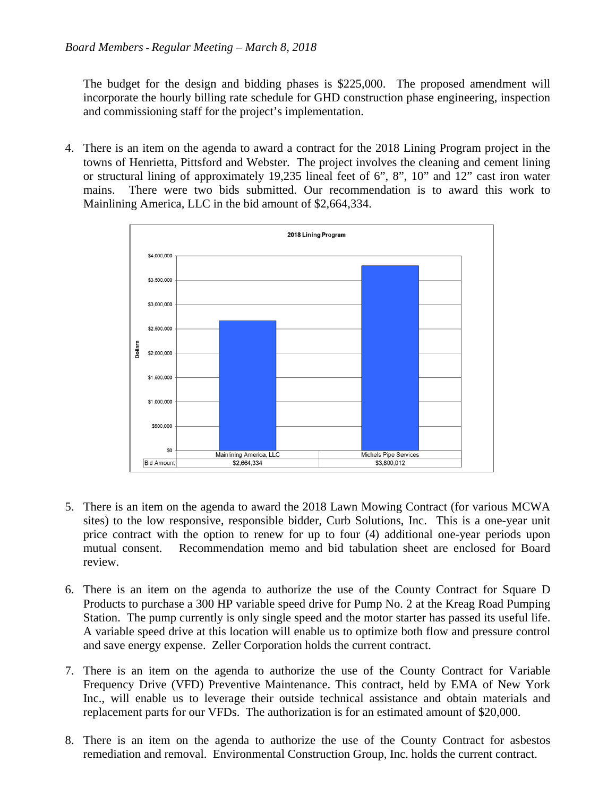The budget for the design and bidding phases is \$225,000. The proposed amendment will incorporate the hourly billing rate schedule for GHD construction phase engineering, inspection and commissioning staff for the project's implementation.

4. There is an item on the agenda to award a contract for the 2018 Lining Program project in the towns of Henrietta, Pittsford and Webster. The project involves the cleaning and cement lining or structural lining of approximately 19,235 lineal feet of 6", 8", 10" and 12" cast iron water mains. There were two bids submitted. Our recommendation is to award this work to Mainlining America, LLC in the bid amount of \$2,664,334.



- 5. There is an item on the agenda to award the 2018 Lawn Mowing Contract (for various MCWA sites) to the low responsive, responsible bidder, Curb Solutions, Inc. This is a one-year unit price contract with the option to renew for up to four (4) additional one-year periods upon mutual consent. Recommendation memo and bid tabulation sheet are enclosed for Board review.
- 6. There is an item on the agenda to authorize the use of the County Contract for Square D Products to purchase a 300 HP variable speed drive for Pump No. 2 at the Kreag Road Pumping Station. The pump currently is only single speed and the motor starter has passed its useful life. A variable speed drive at this location will enable us to optimize both flow and pressure control and save energy expense. Zeller Corporation holds the current contract.
- 7. There is an item on the agenda to authorize the use of the County Contract for Variable Frequency Drive (VFD) Preventive Maintenance. This contract, held by EMA of New York Inc., will enable us to leverage their outside technical assistance and obtain materials and replacement parts for our VFDs. The authorization is for an estimated amount of \$20,000.
- 8. There is an item on the agenda to authorize the use of the County Contract for asbestos remediation and removal. Environmental Construction Group, Inc. holds the current contract.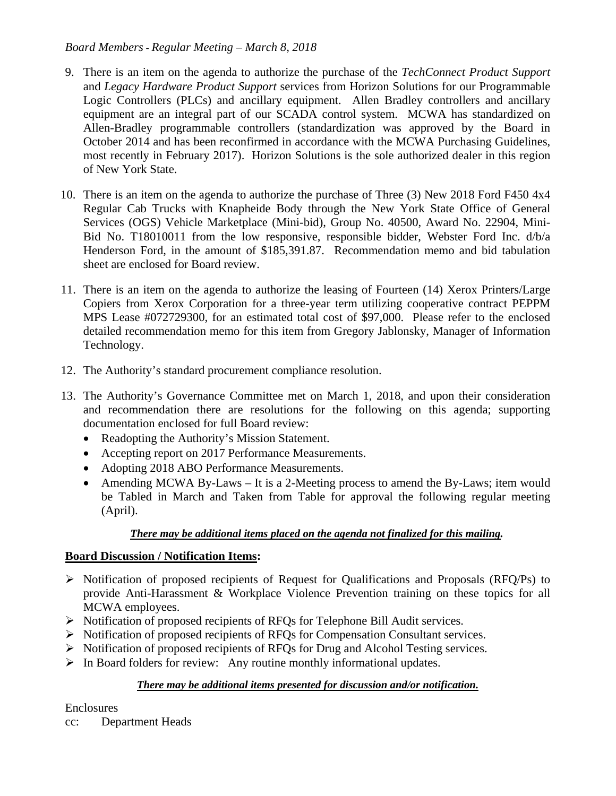### *Board Members - Regular Meeting – March 8, 2018*

- 9. There is an item on the agenda to authorize the purchase of the *TechConnect Product Support* and *Legacy Hardware Product Support* services from Horizon Solutions for our Programmable Logic Controllers (PLCs) and ancillary equipment. Allen Bradley controllers and ancillary equipment are an integral part of our SCADA control system. MCWA has standardized on Allen-Bradley programmable controllers (standardization was approved by the Board in October 2014 and has been reconfirmed in accordance with the MCWA Purchasing Guidelines, most recently in February 2017). Horizon Solutions is the sole authorized dealer in this region of New York State.
- 10. There is an item on the agenda to authorize the purchase of Three (3) New 2018 Ford F450 4x4 Regular Cab Trucks with Knapheide Body through the New York State Office of General Services (OGS) Vehicle Marketplace (Mini-bid), Group No. 40500, Award No. 22904, Mini-Bid No. T18010011 from the low responsive, responsible bidder, Webster Ford Inc. d/b/a Henderson Ford, in the amount of \$185,391.87. Recommendation memo and bid tabulation sheet are enclosed for Board review.
- 11. There is an item on the agenda to authorize the leasing of Fourteen (14) Xerox Printers/Large Copiers from Xerox Corporation for a three-year term utilizing cooperative contract PEPPM MPS Lease #072729300, for an estimated total cost of \$97,000. Please refer to the enclosed detailed recommendation memo for this item from Gregory Jablonsky, Manager of Information Technology.
- 12. The Authority's standard procurement compliance resolution.
- 13. The Authority's Governance Committee met on March 1, 2018, and upon their consideration and recommendation there are resolutions for the following on this agenda; supporting documentation enclosed for full Board review:
	- Readopting the Authority's Mission Statement.
	- Accepting report on 2017 Performance Measurements.
	- Adopting 2018 ABO Performance Measurements.
	- Amending MCWA By-Laws It is a 2-Meeting process to amend the By-Laws; item would be Tabled in March and Taken from Table for approval the following regular meeting (April).

### *There may be additional items placed on the agenda not finalized for this mailing.*

### **Board Discussion / Notification Items:**

- $\triangleright$  Notification of proposed recipients of Request for Qualifications and Proposals (RFQ/Ps) to provide Anti-Harassment & Workplace Violence Prevention training on these topics for all MCWA employees.
- Notification of proposed recipients of RFQs for Telephone Bill Audit services.
- Notification of proposed recipients of RFQs for Compensation Consultant services.
- Notification of proposed recipients of RFQs for Drug and Alcohol Testing services.
- $\triangleright$  In Board folders for review: Any routine monthly informational updates.

### *There may be additional items presented for discussion and/or notification.*

Enclosures

cc: Department Heads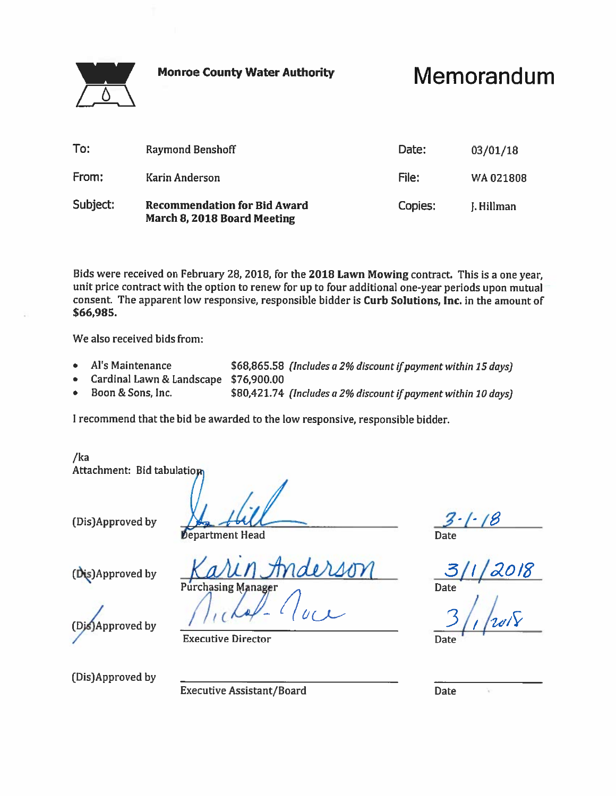**Monroe County Water Authority** 



Memorandum

| To:      | <b>Raymond Benshoff</b>                                            | Date:   | 03/01/18   |
|----------|--------------------------------------------------------------------|---------|------------|
| From:    | Karin Anderson                                                     | File:   | WA021808   |
| Subject: | <b>Recommendation for Bid Award</b><br>March 8, 2018 Board Meeting | Copies: | J. Hillman |

Bids were received on February 28, 2018, for the 2018 Lawn Mowing contract. This is a one year, unit price contract with the option to renew for up to four additional one-year periods upon mutual consent. The apparent low responsive, responsible bidder is Curb Solutions, Inc. in the amount of \$66,985.

We also received bids from:

- Al's Maintenance \$68,865.58 (Includes a 2% discount if payment within 15 days)  $\bullet$
- Cardinal Lawn & Landscape \$76,900.00  $\bullet$
- Boon & Sons, Inc. \$80,421.74 (Includes a 2% discount if payment within 10 days)

I recommend that the bid be awarded to the low responsive, responsible bidder.

/ka Attachment: Bid tabulation

(Dis)Approved by

**Department Head** 

(Dis)Approved by

hasing Manager

Approved by

**Executive Director** 

(Dis)Approved by

**Executive Assistant/Board** 

**Date** 

Date

Date  $\mathcal{L}_{\mathcal{C}}$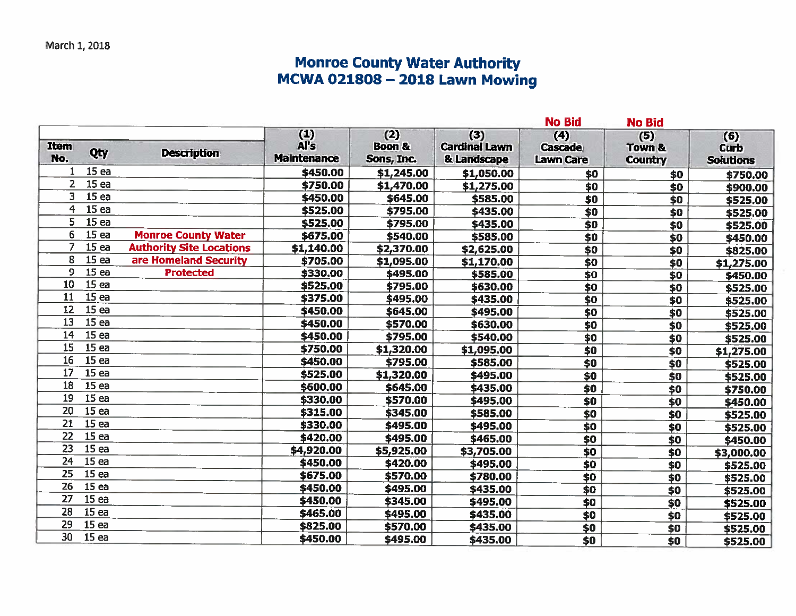# Monroe County Water Authority<br>MCWA 021808 - 2018 Lawn Mowing

| (1)<br>(2)<br>(3)<br>(4)<br>(5)<br>(6)<br>Al's<br><b>Boon &amp;</b><br><b>Item</b><br><b>Cardinal Lawn</b><br><b>Cascade</b><br><b>Town &amp;</b><br><b>Curb</b><br>Qty<br><b>Description</b><br>No.<br><b>Maintenance</b><br>Sons, Inc.<br>& Landscape<br><b>Lawn Care</b><br><b>Country</b><br><b>Solutions</b><br>15 <sub>ea</sub><br>1<br>\$450.00<br>\$1,245.00<br>\$1,050.00<br>\$0<br>\$0<br>$\overline{2}$<br>15 ea<br>\$750.00<br>\$1,470.00<br>\$1,275.00<br>\$0<br>\$0<br>3<br>15 <sub>ea</sub><br>\$450.00<br>\$645.00<br>\$585.00<br>\$0<br>\$0<br>15 <sub>ea</sub><br>4<br>\$525.00<br>\$795.00<br>\$0<br>\$435.00<br>\$0<br>5<br>15 <sub>ea</sub><br>\$525.00<br>\$795.00<br>\$435.00<br>\$0<br>\$0<br>15ea<br>6<br><b>Monroe County Water</b><br>\$675.00<br>\$540.00<br>\$585.00<br>\$0<br>\$0<br>15ea<br>$\overline{7}$<br><b>Authority Site Locations</b><br>\$1,140.00<br>\$2,370.00<br>\$2,625.00<br>$\overline{50}$<br>\$0<br>15 <sub>ea</sub><br>8<br>are Homeland Security<br>\$705.00<br>\$1,095.00<br>\$1,170.00<br>$\overline{40}$<br>\$0<br>\$1,275.00<br>9<br>15ea<br><b>Protected</b><br>\$330.00<br>\$495.00<br>\$585.00<br>\$0<br>\$0<br>15ea<br>10<br>\$525.00<br>\$795.00<br>\$630.00<br>\$0<br>\$0<br>15ea<br>11<br>\$375.00<br>\$495.00<br>\$435.00<br>\$0<br>\$0<br>15 <sub>ea</sub><br>12<br>\$450.00<br>\$645.00<br>\$495.00<br>\$0<br>$\overline{50}$<br>15 <sub>ea</sub><br>13<br>\$450.00<br>\$570.00<br>\$630.00<br>\$0<br>\$0<br>14<br>15 <sub>ea</sub><br>\$450.00<br>\$795.00<br>\$540.00<br>\$0<br>$\overline{\ast}$<br>15 <sub>ea</sub><br>15<br>\$750.00<br>\$1,320.00<br>\$1,095.00<br>\$0<br>\$0<br>\$1,275.00<br>16<br>15 <sub>ea</sub><br>\$450.00<br>\$795.00<br>\$585.00<br>\$0<br>$\overline{\boldsymbol{50}}$<br>17<br>15 <sub>ea</sub><br>\$525.00<br>\$1,320.00<br>\$495.00<br>\$0<br>\$0<br>18<br>15ea<br>\$600.00<br>\$645.00<br>\$435.00<br>\$0<br>\$0<br>15 <sub>ea</sub><br>19<br>\$330.00<br>\$570.00<br>\$0<br>\$495.00<br>\$0<br>20<br>15ea<br>\$315.00<br>\$345.00<br>\$585.00<br>\$0<br>\$0<br>21<br>15 <sub>ea</sub><br>\$330.00<br>\$495.00<br>\$495.00<br>\$0<br>$\overline{50}$<br>22<br>15 <sub>ea</sub><br>\$420.00<br>\$495.00<br>\$465.00<br>\$0<br>\$0<br>$\overline{23}$<br>15 <sub>ea</sub><br>\$4,920.00<br>\$5,925.00<br>\$3,705.00<br>\$0<br>$\overline{\boldsymbol{50}}$<br>\$3,000.00<br>15 <sub>ea</sub><br>24<br>\$450.00<br>\$420.00<br>\$495.00<br>\$0<br>$\overline{$}0$ |          |
|--------------------------------------------------------------------------------------------------------------------------------------------------------------------------------------------------------------------------------------------------------------------------------------------------------------------------------------------------------------------------------------------------------------------------------------------------------------------------------------------------------------------------------------------------------------------------------------------------------------------------------------------------------------------------------------------------------------------------------------------------------------------------------------------------------------------------------------------------------------------------------------------------------------------------------------------------------------------------------------------------------------------------------------------------------------------------------------------------------------------------------------------------------------------------------------------------------------------------------------------------------------------------------------------------------------------------------------------------------------------------------------------------------------------------------------------------------------------------------------------------------------------------------------------------------------------------------------------------------------------------------------------------------------------------------------------------------------------------------------------------------------------------------------------------------------------------------------------------------------------------------------------------------------------------------------------------------------------------------------------------------------------------------------------------------------------------------------------------------------------------------------------------------------------------------------------------------------------------------------------------------------------------------------------------------------------------------------------------------------------------------------------------------------------------------------------------------------------|----------|
|                                                                                                                                                                                                                                                                                                                                                                                                                                                                                                                                                                                                                                                                                                                                                                                                                                                                                                                                                                                                                                                                                                                                                                                                                                                                                                                                                                                                                                                                                                                                                                                                                                                                                                                                                                                                                                                                                                                                                                                                                                                                                                                                                                                                                                                                                                                                                                                                                                                                    |          |
|                                                                                                                                                                                                                                                                                                                                                                                                                                                                                                                                                                                                                                                                                                                                                                                                                                                                                                                                                                                                                                                                                                                                                                                                                                                                                                                                                                                                                                                                                                                                                                                                                                                                                                                                                                                                                                                                                                                                                                                                                                                                                                                                                                                                                                                                                                                                                                                                                                                                    | \$750.00 |
|                                                                                                                                                                                                                                                                                                                                                                                                                                                                                                                                                                                                                                                                                                                                                                                                                                                                                                                                                                                                                                                                                                                                                                                                                                                                                                                                                                                                                                                                                                                                                                                                                                                                                                                                                                                                                                                                                                                                                                                                                                                                                                                                                                                                                                                                                                                                                                                                                                                                    | \$900.00 |
|                                                                                                                                                                                                                                                                                                                                                                                                                                                                                                                                                                                                                                                                                                                                                                                                                                                                                                                                                                                                                                                                                                                                                                                                                                                                                                                                                                                                                                                                                                                                                                                                                                                                                                                                                                                                                                                                                                                                                                                                                                                                                                                                                                                                                                                                                                                                                                                                                                                                    | \$525.00 |
|                                                                                                                                                                                                                                                                                                                                                                                                                                                                                                                                                                                                                                                                                                                                                                                                                                                                                                                                                                                                                                                                                                                                                                                                                                                                                                                                                                                                                                                                                                                                                                                                                                                                                                                                                                                                                                                                                                                                                                                                                                                                                                                                                                                                                                                                                                                                                                                                                                                                    | \$525.00 |
|                                                                                                                                                                                                                                                                                                                                                                                                                                                                                                                                                                                                                                                                                                                                                                                                                                                                                                                                                                                                                                                                                                                                                                                                                                                                                                                                                                                                                                                                                                                                                                                                                                                                                                                                                                                                                                                                                                                                                                                                                                                                                                                                                                                                                                                                                                                                                                                                                                                                    | \$525.00 |
|                                                                                                                                                                                                                                                                                                                                                                                                                                                                                                                                                                                                                                                                                                                                                                                                                                                                                                                                                                                                                                                                                                                                                                                                                                                                                                                                                                                                                                                                                                                                                                                                                                                                                                                                                                                                                                                                                                                                                                                                                                                                                                                                                                                                                                                                                                                                                                                                                                                                    | \$450.00 |
|                                                                                                                                                                                                                                                                                                                                                                                                                                                                                                                                                                                                                                                                                                                                                                                                                                                                                                                                                                                                                                                                                                                                                                                                                                                                                                                                                                                                                                                                                                                                                                                                                                                                                                                                                                                                                                                                                                                                                                                                                                                                                                                                                                                                                                                                                                                                                                                                                                                                    | \$825.00 |
|                                                                                                                                                                                                                                                                                                                                                                                                                                                                                                                                                                                                                                                                                                                                                                                                                                                                                                                                                                                                                                                                                                                                                                                                                                                                                                                                                                                                                                                                                                                                                                                                                                                                                                                                                                                                                                                                                                                                                                                                                                                                                                                                                                                                                                                                                                                                                                                                                                                                    |          |
|                                                                                                                                                                                                                                                                                                                                                                                                                                                                                                                                                                                                                                                                                                                                                                                                                                                                                                                                                                                                                                                                                                                                                                                                                                                                                                                                                                                                                                                                                                                                                                                                                                                                                                                                                                                                                                                                                                                                                                                                                                                                                                                                                                                                                                                                                                                                                                                                                                                                    | \$450.00 |
|                                                                                                                                                                                                                                                                                                                                                                                                                                                                                                                                                                                                                                                                                                                                                                                                                                                                                                                                                                                                                                                                                                                                                                                                                                                                                                                                                                                                                                                                                                                                                                                                                                                                                                                                                                                                                                                                                                                                                                                                                                                                                                                                                                                                                                                                                                                                                                                                                                                                    | \$525.00 |
|                                                                                                                                                                                                                                                                                                                                                                                                                                                                                                                                                                                                                                                                                                                                                                                                                                                                                                                                                                                                                                                                                                                                                                                                                                                                                                                                                                                                                                                                                                                                                                                                                                                                                                                                                                                                                                                                                                                                                                                                                                                                                                                                                                                                                                                                                                                                                                                                                                                                    | \$525.00 |
|                                                                                                                                                                                                                                                                                                                                                                                                                                                                                                                                                                                                                                                                                                                                                                                                                                                                                                                                                                                                                                                                                                                                                                                                                                                                                                                                                                                                                                                                                                                                                                                                                                                                                                                                                                                                                                                                                                                                                                                                                                                                                                                                                                                                                                                                                                                                                                                                                                                                    | \$525.00 |
|                                                                                                                                                                                                                                                                                                                                                                                                                                                                                                                                                                                                                                                                                                                                                                                                                                                                                                                                                                                                                                                                                                                                                                                                                                                                                                                                                                                                                                                                                                                                                                                                                                                                                                                                                                                                                                                                                                                                                                                                                                                                                                                                                                                                                                                                                                                                                                                                                                                                    | \$525.00 |
|                                                                                                                                                                                                                                                                                                                                                                                                                                                                                                                                                                                                                                                                                                                                                                                                                                                                                                                                                                                                                                                                                                                                                                                                                                                                                                                                                                                                                                                                                                                                                                                                                                                                                                                                                                                                                                                                                                                                                                                                                                                                                                                                                                                                                                                                                                                                                                                                                                                                    | \$525.00 |
|                                                                                                                                                                                                                                                                                                                                                                                                                                                                                                                                                                                                                                                                                                                                                                                                                                                                                                                                                                                                                                                                                                                                                                                                                                                                                                                                                                                                                                                                                                                                                                                                                                                                                                                                                                                                                                                                                                                                                                                                                                                                                                                                                                                                                                                                                                                                                                                                                                                                    |          |
|                                                                                                                                                                                                                                                                                                                                                                                                                                                                                                                                                                                                                                                                                                                                                                                                                                                                                                                                                                                                                                                                                                                                                                                                                                                                                                                                                                                                                                                                                                                                                                                                                                                                                                                                                                                                                                                                                                                                                                                                                                                                                                                                                                                                                                                                                                                                                                                                                                                                    | \$525.00 |
|                                                                                                                                                                                                                                                                                                                                                                                                                                                                                                                                                                                                                                                                                                                                                                                                                                                                                                                                                                                                                                                                                                                                                                                                                                                                                                                                                                                                                                                                                                                                                                                                                                                                                                                                                                                                                                                                                                                                                                                                                                                                                                                                                                                                                                                                                                                                                                                                                                                                    | \$525.00 |
|                                                                                                                                                                                                                                                                                                                                                                                                                                                                                                                                                                                                                                                                                                                                                                                                                                                                                                                                                                                                                                                                                                                                                                                                                                                                                                                                                                                                                                                                                                                                                                                                                                                                                                                                                                                                                                                                                                                                                                                                                                                                                                                                                                                                                                                                                                                                                                                                                                                                    | \$750.00 |
|                                                                                                                                                                                                                                                                                                                                                                                                                                                                                                                                                                                                                                                                                                                                                                                                                                                                                                                                                                                                                                                                                                                                                                                                                                                                                                                                                                                                                                                                                                                                                                                                                                                                                                                                                                                                                                                                                                                                                                                                                                                                                                                                                                                                                                                                                                                                                                                                                                                                    | \$450.00 |
|                                                                                                                                                                                                                                                                                                                                                                                                                                                                                                                                                                                                                                                                                                                                                                                                                                                                                                                                                                                                                                                                                                                                                                                                                                                                                                                                                                                                                                                                                                                                                                                                                                                                                                                                                                                                                                                                                                                                                                                                                                                                                                                                                                                                                                                                                                                                                                                                                                                                    | \$525.00 |
|                                                                                                                                                                                                                                                                                                                                                                                                                                                                                                                                                                                                                                                                                                                                                                                                                                                                                                                                                                                                                                                                                                                                                                                                                                                                                                                                                                                                                                                                                                                                                                                                                                                                                                                                                                                                                                                                                                                                                                                                                                                                                                                                                                                                                                                                                                                                                                                                                                                                    | \$525.00 |
|                                                                                                                                                                                                                                                                                                                                                                                                                                                                                                                                                                                                                                                                                                                                                                                                                                                                                                                                                                                                                                                                                                                                                                                                                                                                                                                                                                                                                                                                                                                                                                                                                                                                                                                                                                                                                                                                                                                                                                                                                                                                                                                                                                                                                                                                                                                                                                                                                                                                    | \$450.00 |
|                                                                                                                                                                                                                                                                                                                                                                                                                                                                                                                                                                                                                                                                                                                                                                                                                                                                                                                                                                                                                                                                                                                                                                                                                                                                                                                                                                                                                                                                                                                                                                                                                                                                                                                                                                                                                                                                                                                                                                                                                                                                                                                                                                                                                                                                                                                                                                                                                                                                    |          |
|                                                                                                                                                                                                                                                                                                                                                                                                                                                                                                                                                                                                                                                                                                                                                                                                                                                                                                                                                                                                                                                                                                                                                                                                                                                                                                                                                                                                                                                                                                                                                                                                                                                                                                                                                                                                                                                                                                                                                                                                                                                                                                                                                                                                                                                                                                                                                                                                                                                                    | \$525.00 |
| 15 <sub>ea</sub><br>25<br>\$675.00<br>\$570.00<br>\$780.00<br>\$0<br>$\overline{\$0}$                                                                                                                                                                                                                                                                                                                                                                                                                                                                                                                                                                                                                                                                                                                                                                                                                                                                                                                                                                                                                                                                                                                                                                                                                                                                                                                                                                                                                                                                                                                                                                                                                                                                                                                                                                                                                                                                                                                                                                                                                                                                                                                                                                                                                                                                                                                                                                              | \$525.00 |
| 26<br>15ea<br>\$450.00<br>\$495.00<br>\$435.00<br>\$0<br>$\overline{\ast}$                                                                                                                                                                                                                                                                                                                                                                                                                                                                                                                                                                                                                                                                                                                                                                                                                                                                                                                                                                                                                                                                                                                                                                                                                                                                                                                                                                                                                                                                                                                                                                                                                                                                                                                                                                                                                                                                                                                                                                                                                                                                                                                                                                                                                                                                                                                                                                                         | \$525.00 |
| 15ea<br>27<br>\$450.00<br>\$345.00<br>\$495.00<br>\$0<br>\$0                                                                                                                                                                                                                                                                                                                                                                                                                                                                                                                                                                                                                                                                                                                                                                                                                                                                                                                                                                                                                                                                                                                                                                                                                                                                                                                                                                                                                                                                                                                                                                                                                                                                                                                                                                                                                                                                                                                                                                                                                                                                                                                                                                                                                                                                                                                                                                                                       | \$525.00 |
| 28<br>15ea<br>\$465.00<br>\$495.00<br>\$435.00<br>\$0<br>\$0                                                                                                                                                                                                                                                                                                                                                                                                                                                                                                                                                                                                                                                                                                                                                                                                                                                                                                                                                                                                                                                                                                                                                                                                                                                                                                                                                                                                                                                                                                                                                                                                                                                                                                                                                                                                                                                                                                                                                                                                                                                                                                                                                                                                                                                                                                                                                                                                       | \$525.00 |
| 29<br>15ea<br>\$825.00<br>\$570.00<br>\$435.00<br>\$0<br>\$0                                                                                                                                                                                                                                                                                                                                                                                                                                                                                                                                                                                                                                                                                                                                                                                                                                                                                                                                                                                                                                                                                                                                                                                                                                                                                                                                                                                                                                                                                                                                                                                                                                                                                                                                                                                                                                                                                                                                                                                                                                                                                                                                                                                                                                                                                                                                                                                                       | \$525.00 |
| 30<br>15 <sub>ea</sub><br>\$450.00<br>\$495.00<br>\$435.00<br>\$0<br>\$0                                                                                                                                                                                                                                                                                                                                                                                                                                                                                                                                                                                                                                                                                                                                                                                                                                                                                                                                                                                                                                                                                                                                                                                                                                                                                                                                                                                                                                                                                                                                                                                                                                                                                                                                                                                                                                                                                                                                                                                                                                                                                                                                                                                                                                                                                                                                                                                           | \$525.00 |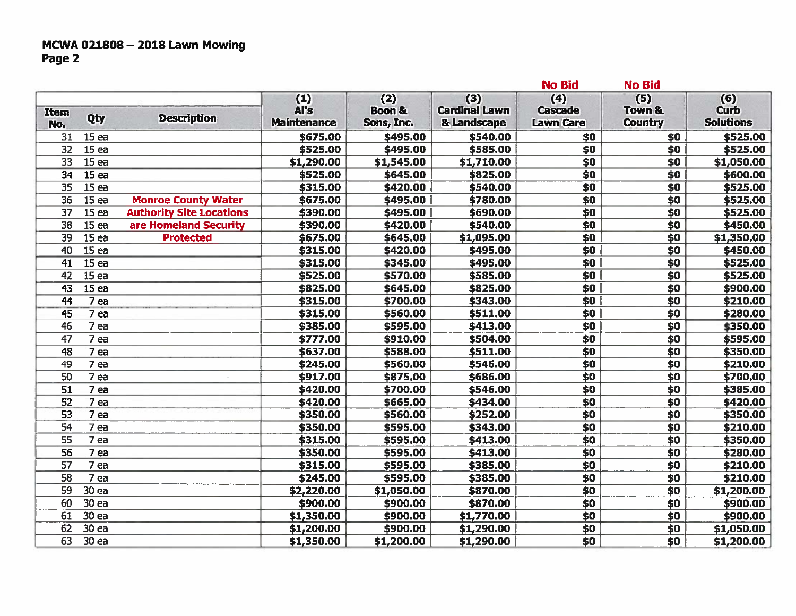# MCWA 021808 - 2018 Lawn Mowing<br>Page 2

| (5)<br>(3)<br>(4)<br>(1)<br>(2)<br>Al's<br><b>Boon &amp;</b><br><b>Cardinal Lawn</b><br><b>Cascade</b><br>Town &<br><b>Item</b><br>Qty<br><b>Description</b><br><b>Lawn Care</b><br><b>Maintenance</b><br>Sons, Inc.<br>& Landscape<br><b>Country</b><br>No.<br>15 <sub>ea</sub><br>31<br>\$675.00<br>\$495.00<br>\$540.00<br>\$0<br>\$0<br>$\overline{32}$<br>15ea<br>\$585.00<br>\$0<br>\$525.00<br>\$495.00<br>\$0<br>\$0<br>\$0<br>33<br>15 <sub>ea</sub><br>\$1,290.00<br>\$1,710.00<br>\$1,545.00<br>$\overline{\boldsymbol{\mathsf{S}}\boldsymbol{\mathsf{O}}}$<br>$\overline{50}$<br>15ea<br>\$525.00<br>\$645.00<br>\$825.00<br>34<br>15ea<br>\$0<br>\$0<br>35<br>\$315.00<br>\$420.00<br>\$540.00<br>15 <sub>ea</sub><br>\$0<br>\$0<br>36<br>\$675.00<br>\$495.00<br>\$780.00<br><b>Monroe County Water</b><br>15ea<br><b>Authority Site Locations</b><br>\$0<br>$\overline{50}$<br>37<br>\$390.00<br>\$495.00<br>\$690.00<br>$\overline{\boldsymbol{50}}$<br>15 <sub>ea</sub><br>\$540.00<br>\$0<br>38<br>are Homeland Security<br>\$390.00<br>\$420.00<br>15ea<br>$\overline{50}$<br>$\overline{\boldsymbol{50}}$<br>\$645.00<br>\$1,095.00<br>39<br>\$675.00<br><b>Protected</b><br>15 <sub>ea</sub><br>\$495.00<br>\$0<br>\$0<br>\$315.00<br>\$420.00<br>40<br>\$0<br>\$0<br>15 <sub>ea</sub><br>\$315.00<br>\$345.00<br>\$495.00<br>41<br>15ea<br>$\overline{50}$<br>$\overline{\$0}$<br>\$585.00<br>42<br>\$525.00<br>\$570.00<br>15ea<br>\$645.00<br>\$825.00<br>\$0<br>$\overline{$}0$<br>43<br>\$825.00<br>\$0<br>$\overline{\$0}$<br>$7$ ea<br>\$315.00<br>\$343.00<br>44<br>\$700.00<br>\$0<br>7 <sub>ea</sub><br>\$315.00<br>\$560.00<br>\$511.00<br>\$0<br>45<br>\$595.00<br>\$413.00<br>\$0<br>\$0<br>46<br>7 <sub>ea</sub><br>\$385.00<br>\$504.00<br>\$0<br>\$0<br>47<br>7 ea<br>\$777.00<br>\$910.00<br>$\overline{50}$<br>\$0<br>48<br>7 ea<br>\$637.00<br>\$588.00<br>\$511.00<br>\$0<br>\$560.00<br>\$546.00<br>\$0<br>7 ea<br>\$245.00<br>49<br>7 ea<br>\$0<br>\$0<br>50<br>\$917.00<br>\$875.00<br>\$686.00 | (6)<br><b>Curb</b><br><b>Solutions</b><br>\$525.00<br>\$525.00<br>\$1,050.00<br>\$600.00<br>\$525.00<br>\$525.00<br>\$525.00 |
|---------------------------------------------------------------------------------------------------------------------------------------------------------------------------------------------------------------------------------------------------------------------------------------------------------------------------------------------------------------------------------------------------------------------------------------------------------------------------------------------------------------------------------------------------------------------------------------------------------------------------------------------------------------------------------------------------------------------------------------------------------------------------------------------------------------------------------------------------------------------------------------------------------------------------------------------------------------------------------------------------------------------------------------------------------------------------------------------------------------------------------------------------------------------------------------------------------------------------------------------------------------------------------------------------------------------------------------------------------------------------------------------------------------------------------------------------------------------------------------------------------------------------------------------------------------------------------------------------------------------------------------------------------------------------------------------------------------------------------------------------------------------------------------------------------------------------------------------------------------------------------------------------------------------------------------------------------------------------------------------------------------------------------------------|------------------------------------------------------------------------------------------------------------------------------|
|                                                                                                                                                                                                                                                                                                                                                                                                                                                                                                                                                                                                                                                                                                                                                                                                                                                                                                                                                                                                                                                                                                                                                                                                                                                                                                                                                                                                                                                                                                                                                                                                                                                                                                                                                                                                                                                                                                                                                                                                                                             |                                                                                                                              |
|                                                                                                                                                                                                                                                                                                                                                                                                                                                                                                                                                                                                                                                                                                                                                                                                                                                                                                                                                                                                                                                                                                                                                                                                                                                                                                                                                                                                                                                                                                                                                                                                                                                                                                                                                                                                                                                                                                                                                                                                                                             |                                                                                                                              |
|                                                                                                                                                                                                                                                                                                                                                                                                                                                                                                                                                                                                                                                                                                                                                                                                                                                                                                                                                                                                                                                                                                                                                                                                                                                                                                                                                                                                                                                                                                                                                                                                                                                                                                                                                                                                                                                                                                                                                                                                                                             |                                                                                                                              |
|                                                                                                                                                                                                                                                                                                                                                                                                                                                                                                                                                                                                                                                                                                                                                                                                                                                                                                                                                                                                                                                                                                                                                                                                                                                                                                                                                                                                                                                                                                                                                                                                                                                                                                                                                                                                                                                                                                                                                                                                                                             |                                                                                                                              |
|                                                                                                                                                                                                                                                                                                                                                                                                                                                                                                                                                                                                                                                                                                                                                                                                                                                                                                                                                                                                                                                                                                                                                                                                                                                                                                                                                                                                                                                                                                                                                                                                                                                                                                                                                                                                                                                                                                                                                                                                                                             |                                                                                                                              |
|                                                                                                                                                                                                                                                                                                                                                                                                                                                                                                                                                                                                                                                                                                                                                                                                                                                                                                                                                                                                                                                                                                                                                                                                                                                                                                                                                                                                                                                                                                                                                                                                                                                                                                                                                                                                                                                                                                                                                                                                                                             |                                                                                                                              |
|                                                                                                                                                                                                                                                                                                                                                                                                                                                                                                                                                                                                                                                                                                                                                                                                                                                                                                                                                                                                                                                                                                                                                                                                                                                                                                                                                                                                                                                                                                                                                                                                                                                                                                                                                                                                                                                                                                                                                                                                                                             |                                                                                                                              |
|                                                                                                                                                                                                                                                                                                                                                                                                                                                                                                                                                                                                                                                                                                                                                                                                                                                                                                                                                                                                                                                                                                                                                                                                                                                                                                                                                                                                                                                                                                                                                                                                                                                                                                                                                                                                                                                                                                                                                                                                                                             |                                                                                                                              |
|                                                                                                                                                                                                                                                                                                                                                                                                                                                                                                                                                                                                                                                                                                                                                                                                                                                                                                                                                                                                                                                                                                                                                                                                                                                                                                                                                                                                                                                                                                                                                                                                                                                                                                                                                                                                                                                                                                                                                                                                                                             | \$450.00                                                                                                                     |
|                                                                                                                                                                                                                                                                                                                                                                                                                                                                                                                                                                                                                                                                                                                                                                                                                                                                                                                                                                                                                                                                                                                                                                                                                                                                                                                                                                                                                                                                                                                                                                                                                                                                                                                                                                                                                                                                                                                                                                                                                                             | \$1,350.00                                                                                                                   |
|                                                                                                                                                                                                                                                                                                                                                                                                                                                                                                                                                                                                                                                                                                                                                                                                                                                                                                                                                                                                                                                                                                                                                                                                                                                                                                                                                                                                                                                                                                                                                                                                                                                                                                                                                                                                                                                                                                                                                                                                                                             | \$450.00                                                                                                                     |
|                                                                                                                                                                                                                                                                                                                                                                                                                                                                                                                                                                                                                                                                                                                                                                                                                                                                                                                                                                                                                                                                                                                                                                                                                                                                                                                                                                                                                                                                                                                                                                                                                                                                                                                                                                                                                                                                                                                                                                                                                                             | \$525.00                                                                                                                     |
|                                                                                                                                                                                                                                                                                                                                                                                                                                                                                                                                                                                                                                                                                                                                                                                                                                                                                                                                                                                                                                                                                                                                                                                                                                                                                                                                                                                                                                                                                                                                                                                                                                                                                                                                                                                                                                                                                                                                                                                                                                             | \$525.00                                                                                                                     |
|                                                                                                                                                                                                                                                                                                                                                                                                                                                                                                                                                                                                                                                                                                                                                                                                                                                                                                                                                                                                                                                                                                                                                                                                                                                                                                                                                                                                                                                                                                                                                                                                                                                                                                                                                                                                                                                                                                                                                                                                                                             | \$900.00                                                                                                                     |
|                                                                                                                                                                                                                                                                                                                                                                                                                                                                                                                                                                                                                                                                                                                                                                                                                                                                                                                                                                                                                                                                                                                                                                                                                                                                                                                                                                                                                                                                                                                                                                                                                                                                                                                                                                                                                                                                                                                                                                                                                                             | \$210.00                                                                                                                     |
|                                                                                                                                                                                                                                                                                                                                                                                                                                                                                                                                                                                                                                                                                                                                                                                                                                                                                                                                                                                                                                                                                                                                                                                                                                                                                                                                                                                                                                                                                                                                                                                                                                                                                                                                                                                                                                                                                                                                                                                                                                             | \$280.00                                                                                                                     |
|                                                                                                                                                                                                                                                                                                                                                                                                                                                                                                                                                                                                                                                                                                                                                                                                                                                                                                                                                                                                                                                                                                                                                                                                                                                                                                                                                                                                                                                                                                                                                                                                                                                                                                                                                                                                                                                                                                                                                                                                                                             | \$350.00                                                                                                                     |
|                                                                                                                                                                                                                                                                                                                                                                                                                                                                                                                                                                                                                                                                                                                                                                                                                                                                                                                                                                                                                                                                                                                                                                                                                                                                                                                                                                                                                                                                                                                                                                                                                                                                                                                                                                                                                                                                                                                                                                                                                                             | \$595.00                                                                                                                     |
|                                                                                                                                                                                                                                                                                                                                                                                                                                                                                                                                                                                                                                                                                                                                                                                                                                                                                                                                                                                                                                                                                                                                                                                                                                                                                                                                                                                                                                                                                                                                                                                                                                                                                                                                                                                                                                                                                                                                                                                                                                             | \$350.00                                                                                                                     |
|                                                                                                                                                                                                                                                                                                                                                                                                                                                                                                                                                                                                                                                                                                                                                                                                                                                                                                                                                                                                                                                                                                                                                                                                                                                                                                                                                                                                                                                                                                                                                                                                                                                                                                                                                                                                                                                                                                                                                                                                                                             | \$210.00                                                                                                                     |
|                                                                                                                                                                                                                                                                                                                                                                                                                                                                                                                                                                                                                                                                                                                                                                                                                                                                                                                                                                                                                                                                                                                                                                                                                                                                                                                                                                                                                                                                                                                                                                                                                                                                                                                                                                                                                                                                                                                                                                                                                                             | \$700.00                                                                                                                     |
| \$0<br>51<br>7 ea<br>\$546.00<br>\$0<br>\$420.00<br>\$700.00                                                                                                                                                                                                                                                                                                                                                                                                                                                                                                                                                                                                                                                                                                                                                                                                                                                                                                                                                                                                                                                                                                                                                                                                                                                                                                                                                                                                                                                                                                                                                                                                                                                                                                                                                                                                                                                                                                                                                                                | \$385.00                                                                                                                     |
| $\overline{50}$<br>$\overline{50}$<br>52<br>\$665.00<br>7 <sub>ea</sub><br>\$420.00<br>\$434.00                                                                                                                                                                                                                                                                                                                                                                                                                                                                                                                                                                                                                                                                                                                                                                                                                                                                                                                                                                                                                                                                                                                                                                                                                                                                                                                                                                                                                                                                                                                                                                                                                                                                                                                                                                                                                                                                                                                                             | \$420.00                                                                                                                     |
| \$0<br>\$560.00<br>\$0<br>53<br>7 ea<br>\$350.00<br>\$252.00                                                                                                                                                                                                                                                                                                                                                                                                                                                                                                                                                                                                                                                                                                                                                                                                                                                                                                                                                                                                                                                                                                                                                                                                                                                                                                                                                                                                                                                                                                                                                                                                                                                                                                                                                                                                                                                                                                                                                                                | \$350.00                                                                                                                     |
| \$0<br>$\overline{\$0}$<br>54<br>7 <sub>ea</sub><br>\$595.00<br>\$350.00<br>\$343.00                                                                                                                                                                                                                                                                                                                                                                                                                                                                                                                                                                                                                                                                                                                                                                                                                                                                                                                                                                                                                                                                                                                                                                                                                                                                                                                                                                                                                                                                                                                                                                                                                                                                                                                                                                                                                                                                                                                                                        | \$210.00                                                                                                                     |
| $\overline{\boldsymbol{50}}$<br>55<br>\$0<br>7 ea<br>\$315.00<br>\$595.00<br>\$413.00                                                                                                                                                                                                                                                                                                                                                                                                                                                                                                                                                                                                                                                                                                                                                                                                                                                                                                                                                                                                                                                                                                                                                                                                                                                                                                                                                                                                                                                                                                                                                                                                                                                                                                                                                                                                                                                                                                                                                       | \$350.00                                                                                                                     |
| 56<br>\$0<br>\$0<br>7 ea<br>\$350.00<br>\$595.00<br>\$413.00                                                                                                                                                                                                                                                                                                                                                                                                                                                                                                                                                                                                                                                                                                                                                                                                                                                                                                                                                                                                                                                                                                                                                                                                                                                                                                                                                                                                                                                                                                                                                                                                                                                                                                                                                                                                                                                                                                                                                                                | \$280.00                                                                                                                     |
| \$0<br>$\overline{50}$<br>57<br>7 ea<br>\$315.00<br>\$595.00<br>\$385.00                                                                                                                                                                                                                                                                                                                                                                                                                                                                                                                                                                                                                                                                                                                                                                                                                                                                                                                                                                                                                                                                                                                                                                                                                                                                                                                                                                                                                                                                                                                                                                                                                                                                                                                                                                                                                                                                                                                                                                    | \$210.00                                                                                                                     |
| $\overline{\boldsymbol{50}}$<br>\$0<br>58<br>7 ea<br>\$245.00<br>\$595.00<br>\$385.00                                                                                                                                                                                                                                                                                                                                                                                                                                                                                                                                                                                                                                                                                                                                                                                                                                                                                                                                                                                                                                                                                                                                                                                                                                                                                                                                                                                                                                                                                                                                                                                                                                                                                                                                                                                                                                                                                                                                                       | \$210.00                                                                                                                     |
| 59<br>30 ea<br>\$0<br>\$0<br>\$2,220.00<br>\$870.00<br>\$1,050.00                                                                                                                                                                                                                                                                                                                                                                                                                                                                                                                                                                                                                                                                                                                                                                                                                                                                                                                                                                                                                                                                                                                                                                                                                                                                                                                                                                                                                                                                                                                                                                                                                                                                                                                                                                                                                                                                                                                                                                           | \$1,200.00                                                                                                                   |
| 30 ea<br>\$0<br>60<br>\$900.00<br>\$900.00<br>\$870.00<br>\$0                                                                                                                                                                                                                                                                                                                                                                                                                                                                                                                                                                                                                                                                                                                                                                                                                                                                                                                                                                                                                                                                                                                                                                                                                                                                                                                                                                                                                                                                                                                                                                                                                                                                                                                                                                                                                                                                                                                                                                               | \$900.00                                                                                                                     |
| 61<br>30 ea<br>\$0<br>\$0<br>\$1,350.00<br>\$900.00<br>\$1,770.00                                                                                                                                                                                                                                                                                                                                                                                                                                                                                                                                                                                                                                                                                                                                                                                                                                                                                                                                                                                                                                                                                                                                                                                                                                                                                                                                                                                                                                                                                                                                                                                                                                                                                                                                                                                                                                                                                                                                                                           | \$900.00                                                                                                                     |
| 62<br>30 ea<br>\$0<br>\$0<br>\$1,200.00<br>\$900.00<br>\$1,290.00                                                                                                                                                                                                                                                                                                                                                                                                                                                                                                                                                                                                                                                                                                                                                                                                                                                                                                                                                                                                                                                                                                                                                                                                                                                                                                                                                                                                                                                                                                                                                                                                                                                                                                                                                                                                                                                                                                                                                                           | \$1,050.00                                                                                                                   |
| \$0<br>63<br>30 ea<br>\$0<br>\$1,350.00<br>\$1,200.00<br>\$1,290.00                                                                                                                                                                                                                                                                                                                                                                                                                                                                                                                                                                                                                                                                                                                                                                                                                                                                                                                                                                                                                                                                                                                                                                                                                                                                                                                                                                                                                                                                                                                                                                                                                                                                                                                                                                                                                                                                                                                                                                         | \$1,200.00                                                                                                                   |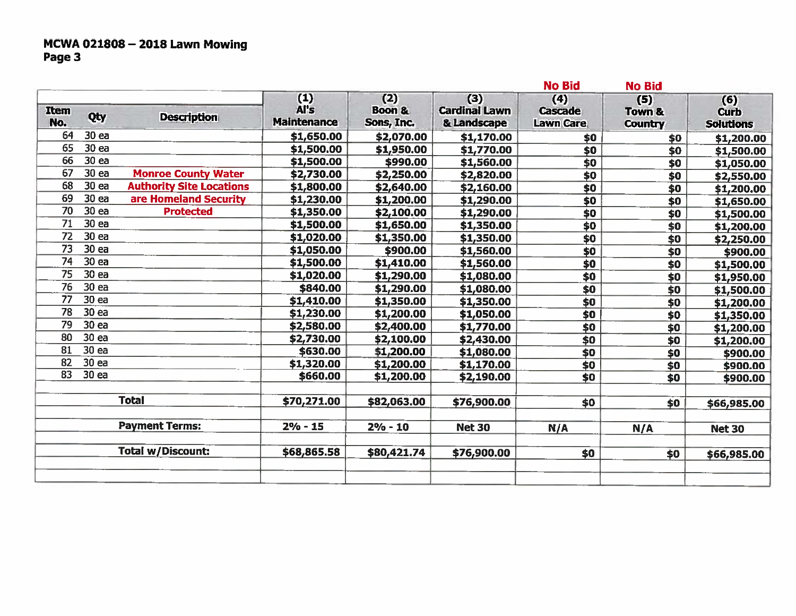# MCWA 021808 - 2018 Lawn Mowing<br>Page 3

|                 |                  |                                 |                                   |                                        |                                            | <b>No Bid</b>                             | <b>No Bid</b>                              |                                        |
|-----------------|------------------|---------------------------------|-----------------------------------|----------------------------------------|--------------------------------------------|-------------------------------------------|--------------------------------------------|----------------------------------------|
| Item<br>No.     | Qty              | <b>Description</b>              | (1)<br>Al's<br><b>Maintenance</b> | (2)<br><b>Boon &amp;</b><br>Sons, Inc. | (3)<br><b>Cardinal Lawn</b><br>& Landscape | (4)<br><b>Cascade</b><br><b>Lawn Care</b> | (5)<br><b>Town &amp;</b><br><b>Country</b> | (6)<br><b>Curb</b><br><b>Solutions</b> |
| 64              | 30 ea            |                                 | \$1,650.00                        | \$2,070.00                             | \$1,170.00                                 | \$0                                       | \$0                                        | \$1,200.00                             |
| 65              | 30 ea            |                                 | \$1,500.00                        | \$1,950.00                             | \$1,770.00                                 | \$0                                       | \$0                                        | \$1,500.00                             |
| 66              | 30 ea            |                                 | \$1,500.00                        | \$990.00                               | \$1,560.00                                 | \$0                                       | \$0                                        | \$1,050.00                             |
| 67              | 30 ea            | <b>Monroe County Water</b>      | \$2,730.00                        | \$2,250.00                             | \$2,820.00                                 | \$0                                       | $\overline{50}$                            | \$2,550.00                             |
| 68              | 30 ea            | <b>Authority Site Locations</b> | \$1,800.00                        | \$2,640.00                             | \$2,160.00                                 | \$0                                       | $\overline{\boldsymbol{50}}$               | \$1,200.00                             |
| 69              | 30 ea            | are Homeland Security           | \$1,230.00                        | \$1,200.00                             | \$1,290.00                                 | \$0                                       | $\overline{50}$                            | \$1,650.00                             |
| 70              | 30 ea            | <b>Protected</b>                | \$1,350.00                        | \$2,100.00                             | \$1,290.00                                 | \$0                                       | \$0                                        | \$1,500.00                             |
| 71              | 30 <sub>ea</sub> |                                 | \$1,500.00                        | \$1,650.00                             | \$1,350.00                                 | \$0                                       | $\overline{$}$                             | \$1,200.00                             |
| 72              | 30 ea            |                                 | \$1,020.00                        | \$1,350.00                             | \$1,350.00                                 | \$0                                       | \$0                                        | \$2,250.00                             |
| $\overline{73}$ | 30 ea            |                                 | \$1,050.00                        | \$900.00                               | \$1,560.00                                 | \$0                                       | $\overline{\boldsymbol{50}}$               | \$900.00                               |
| 74              | 30 ea            |                                 | \$1,500.00                        | \$1,410.00                             | \$1,560.00                                 | \$0                                       | \$0                                        | \$1,500.00                             |
| 75              | 30 <sub>ea</sub> |                                 | \$1,020.00                        | \$1,290.00                             | \$1,080.00                                 | \$0                                       | \$0                                        | \$1,950.00                             |
| 76              | 30 ea            |                                 | \$840.00                          | \$1,290.00                             | \$1,080.00                                 | \$0                                       | $\overline{\boldsymbol{50}}$               | \$1,500.00                             |
| 77              | 30 ea            |                                 | \$1,410.00                        | \$1,350.00                             | \$1,350.00                                 | \$0                                       | \$0                                        | \$1,200.00                             |
| 78              | 30 ea            |                                 | \$1,230.00                        | \$1,200.00                             | \$1,050.00                                 | \$0                                       | \$0                                        | \$1,350.00                             |
| 79              | 30 ea            |                                 | \$2,580.00                        | \$2,400.00                             | \$1,770.00                                 | $\overline{$}$                            | \$0                                        | \$1,200.00                             |
| 80              | 30 ea            |                                 | \$2,730.00                        | \$2,100.00                             | \$2,430.00                                 | \$0                                       | \$0                                        | \$1,200.00                             |
| 81              | 30 <sub>ea</sub> |                                 | \$630.00                          | \$1,200.00                             | \$1,080.00                                 | \$0                                       | \$0                                        | \$900.00                               |
| 82              | 30 ea            |                                 | \$1,320.00                        | \$1,200.00                             | \$1,170.00                                 | \$0                                       | \$0                                        | \$900.00                               |
| 83              | 30 ea            |                                 | \$660.00                          | \$1,200.00                             | \$2,190.00                                 | \$0                                       | \$0                                        | \$900.00                               |
|                 |                  | <b>Total</b>                    | \$70,271.00                       | \$82,063.00                            | \$76,900.00                                | \$0                                       | \$0                                        | \$66,985.00                            |
|                 |                  | <b>Payment Terms:</b>           | $2% - 15$                         | $2% - 10$                              | <b>Net 30</b>                              | N/A                                       | N/A                                        | <b>Net 30</b>                          |
|                 |                  | <b>Total w/Discount:</b>        | \$68,865.58                       | \$80,421.74                            | \$76,900.00                                | \$0                                       | \$0                                        | \$66,985.00                            |
|                 |                  |                                 |                                   |                                        |                                            |                                           |                                            |                                        |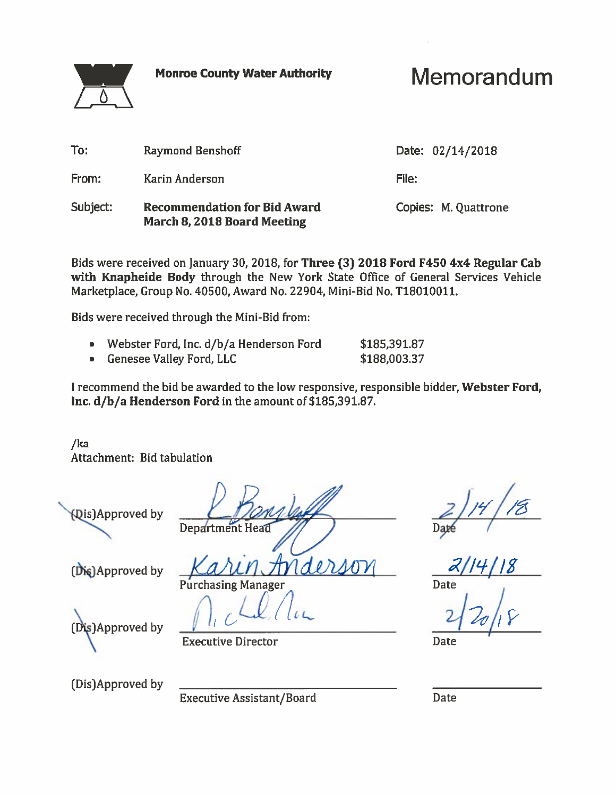**Monroe County Water Authority** 

Memorandum

| To:      | <b>Raymond Benshoff</b>                                                   | Date: 02/14/2018     |  |
|----------|---------------------------------------------------------------------------|----------------------|--|
| From:    | Karin Anderson                                                            | File:                |  |
| Subject: | <b>Recommendation for Bid Award</b><br><b>March 8, 2018 Board Meeting</b> | Copies: M. Quattrone |  |

Bids were received on January 30, 2018, for Three (3) 2018 Ford F450 4x4 Regular Cab with Knapheide Body through the New York State Office of General Services Vehicle Marketplace, Group No. 40500, Award No. 22904, Mini-Bid No. T18010011.

Bids were received through the Mini-Bid from:

- Webster Ford, Inc. d/b/a Henderson Ford \$185,391.87
- **Genesee Valley Ford, LLC**  $\bullet$

I recommend the bid be awarded to the low responsive, responsible bidder, Webster Ford, Inc. d/b/a Henderson Ford in the amount of \$185,391.87.

\$188,003.37

/ka Attachment: Bid tabulation

**Qis)Approved by** 

**Department Head** 

(Dis)Approved by

(Dis)Approved by

**Executive Director** 

(Dis)Approved by

**Executive Assistant/Board** 

Date

Date

Date

Purchasing Manager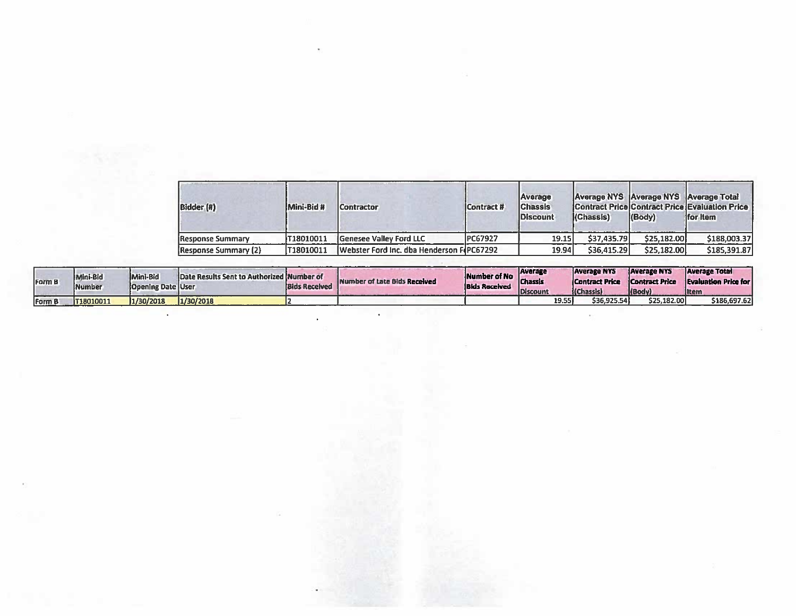| Bidder (#)              | Mini-Bid #        | <b>Contractor</b>                                 | Contract #     | Average<br><b>Chassis</b><br><b>Discount</b> | (Chassis)   | Average NYS Average NYS Average Total<br>(Body) | Contract Price Contract Price Evaluation Price<br>ffor item |
|-------------------------|-------------------|---------------------------------------------------|----------------|----------------------------------------------|-------------|-------------------------------------------------|-------------------------------------------------------------|
| <b>Response Summary</b> | <b>1718010011</b> | Genesee Valley Ford LLC                           | <b>PC67927</b> | <b>19.15</b>                                 | \$37,435.79 | \$25,182.00                                     | \$188,003.37                                                |
| Response Summary (2)    | 1718010011        | <b>IWebster Ford Inc. dba Henderson FIPC67292</b> |                | 19.94                                        | \$36,415.29 | \$25,182,00                                     | \$185,391.87                                                |

| Form B | Mini-Bid<br><b>Number</b> | Mini-Bid<br><b>Coening Date User</b> | <b>IDate Results Sent to Authorized Number of</b> | <b>Bids Received</b> | Number of Late Blds Received | <b>INumber of No</b> Chassis<br><b>Bids Received</b> | Average<br><b>IDiscount</b> |       | <b>Average NYS</b><br><b>Contract Price</b><br>(Chassis) | <b>Average NYS</b><br>Contract Price<br>(Body) | <b>Average Total</b><br><b>Evaluation Price for</b><br><b>Iltem</b> |
|--------|---------------------------|--------------------------------------|---------------------------------------------------|----------------------|------------------------------|------------------------------------------------------|-----------------------------|-------|----------------------------------------------------------|------------------------------------------------|---------------------------------------------------------------------|
| Form B | 1718010011                | 1/30/2018                            | 1/30/2018                                         |                      |                              |                                                      |                             | 19.55 | \$36.925.54                                              | \$25,182,00                                    | \$186.697.62                                                        |

 $\bullet$ 

 $\mathcal{L}^{\text{max}}$ 

 $\bullet$ 

 $\bar{\mathbf{z}}$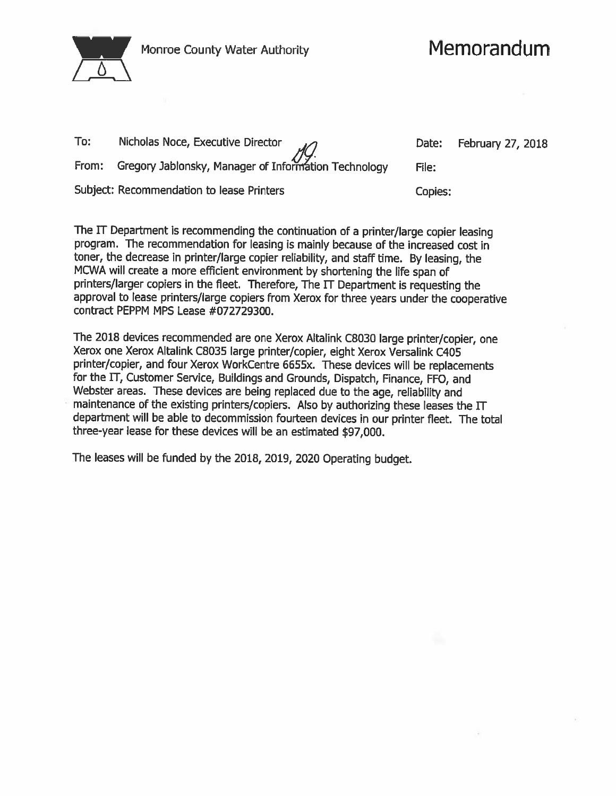

| To: | Nicholas Noce, Executive Director                          |         | Date: February 27, 2018 |
|-----|------------------------------------------------------------|---------|-------------------------|
|     | From: Gregory Jablonsky, Manager of Information Technology | File:   |                         |
|     | Subject: Recommendation to lease Printers                  | Copies: |                         |

The IT Department is recommending the continuation of a printer/large copier leasing program. The recommendation for leasing is mainly because of the increased cost in toner, the decrease in printer/large copier reliability, and staff time. By leasing, the MCWA will create a more efficient environment by shortening the life span of printers/larger copiers in the fleet. Therefore, The IT Department is requesting the approval to lease printers/large copiers from Xerox for three years under the cooperative contract PEPPM MPS Lease #072729300.

The 2018 devices recommended are one Xerox Altalink C8030 large printer/copier, one Xerox one Xerox Altalink C8035 large printer/copier, eight Xerox Versalink C405 printer/copier, and four Xerox WorkCentre 6655x. These devices will be replacements for the IT, Customer Service, Buildings and Grounds, Dispatch, Finance, FFO, and Webster areas. These devices are being replaced due to the age, reliability and maintenance of the existing printers/copiers. Also by authorizing these leases the  $\Pi$ department will be able to decommission fourteen devices in our printer fleet. The total three-year lease for these devices will be an estimated \$97,000.

The leases will be funded by the 2018, 2019, 2020 Operating budget.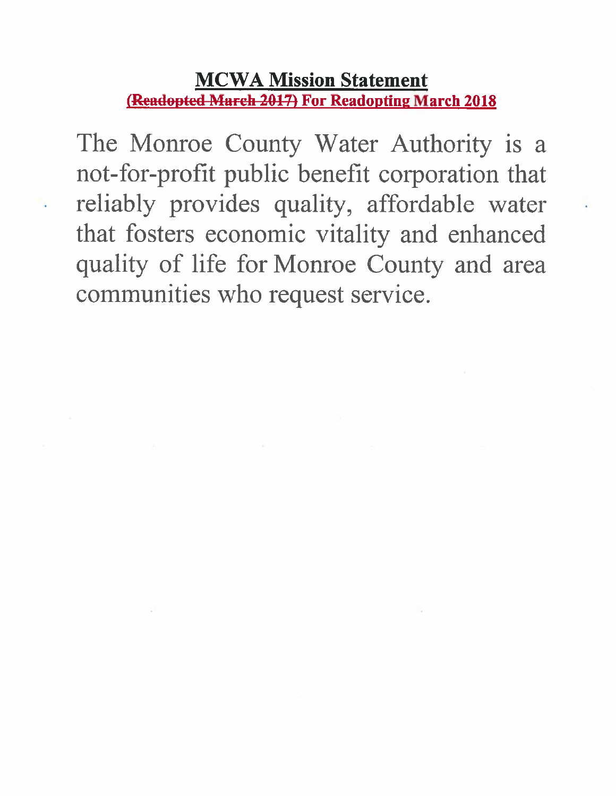### **MCWA Mission Statement** (Readopted March 2017) For Readopting March 2018

The Monroe County Water Authority is a not-for-profit public benefit corporation that reliably provides quality, affordable water that fosters economic vitality and enhanced quality of life for Monroe County and area communities who request service.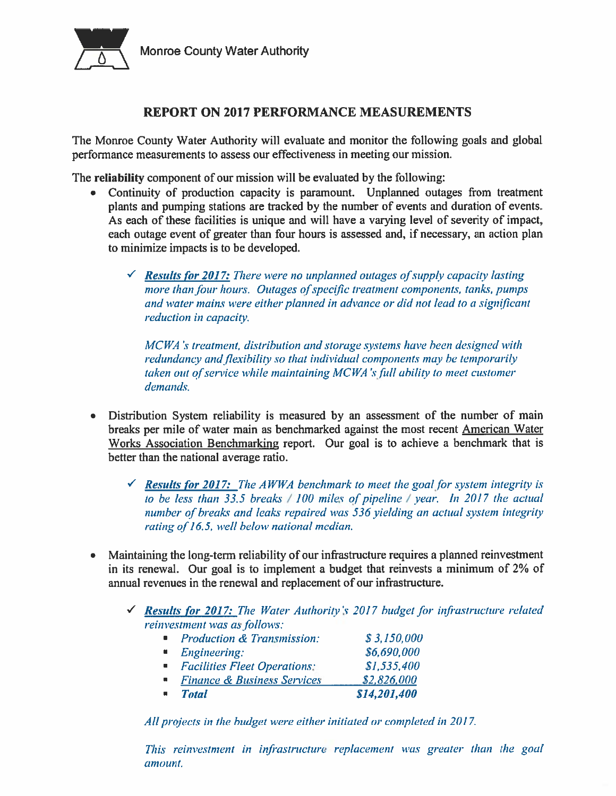

### **REPORT ON 2017 PERFORMANCE MEASUREMENTS**

The Monroe County Water Authority will evaluate and monitor the following goals and global performance measurements to assess our effectiveness in meeting our mission.

The reliability component of our mission will be evaluated by the following:

- Continuity of production capacity is paramount. Unplanned outages from treatment plants and pumping stations are tracked by the number of events and duration of events. As each of these facilities is unique and will have a varying level of severity of impact, each outage event of greater than four hours is assessed and, if necessary, an action plan to minimize impacts is to be developed.
	- $\checkmark$  Results for 2017: There were no unplanned outages of supply capacity lasting more than four hours. Outages of specific treatment components, tanks, pumps and water mains were either planned in advance or did not lead to a significant reduction in capacity.

MCWA's treatment, distribution and storage systems have been designed with redundancy and flexibility so that individual components may be temporarily taken out of service while maintaining MCWA's full ability to meet customer demands.

- Distribution System reliability is measured by an assessment of the number of main breaks per mile of water main as benchmarked against the most recent American Water Works Association Benchmarking report. Our goal is to achieve a benchmark that is better than the national average ratio.
	- $\checkmark$  Results for 2017: The AWWA benchmark to meet the goal for system integrity is to be less than 33.5 breaks  $/100$  miles of pipeline  $/$  year. In 2017 the actual number of breaks and leaks repaired was 536 yielding an actual system integrity rating of 16.5, well below national median.
- Maintaining the long-term reliability of our infrastructure requires a planned reinvestment in its renewal. Our goal is to implement a budget that reinvests a minimum of 2% of annual revenues in the renewal and replacement of our infrastructure.
	- $\checkmark$  Results for 2017: The Water Authority's 2017 budget for infrastructure related reinvestment was as follows:

| <b>Production &amp; Transmission:</b>  | \$3,150,000  |
|----------------------------------------|--------------|
| Engineering:                           | \$6,690,000  |
| • Facilities Fleet Operations:         | \$1,535,400  |
| <b>Finance &amp; Business Services</b> | \$2,826,000  |
| <b>Total</b>                           | \$14,201,400 |

All projects in the budget were either initiated or completed in 2017.

This reinvestment in infrastructure replacement was greater than the goal amount.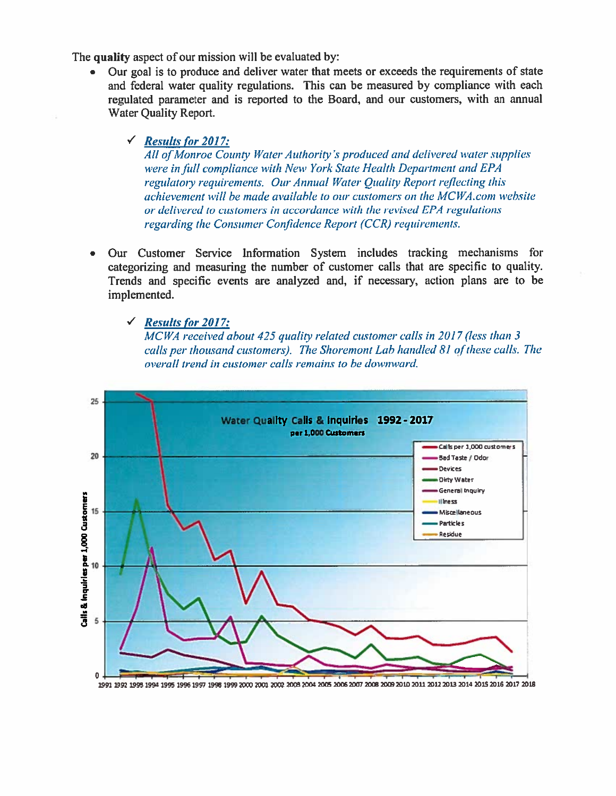The quality aspect of our mission will be evaluated by:

Our goal is to produce and deliver water that meets or exceeds the requirements of state and federal water quality regulations. This can be measured by compliance with each regulated parameter and is reported to the Board, and our customers, with an annual Water Quality Report.

### $\checkmark$  Results for 2017:

All of Monroe County Water Authority's produced and delivered water supplies were in full compliance with New York State Health Department and EPA regulatory requirements. Our Annual Water Quality Report reflecting this achievement will be made available to our customers on the MCWA.com website or delivered to customers in accordance with the revised EPA regulations regarding the Consumer Confidence Report (CCR) requirements.

Our Customer Service Information System includes tracking mechanisms for categorizing and measuring the number of customer calls that are specific to quality. Trends and specific events are analyzed and, if necessary, action plans are to be implemented.

 $\checkmark$  Results for 2017:

MCWA received about 425 quality related customer calls in 2017 (less than 3 calls per thousand customers). The Shoremont Lab handled 81 of these calls. The overall trend in customer calls remains to be downward.



1991 1992 1993 1994 1995 1996 1997 1998 1999 2000 2001 2002 2003 2004 2005 2006 2007 2008 2009 2010 2011 2012 2013 2014 2015 2016 2017 2018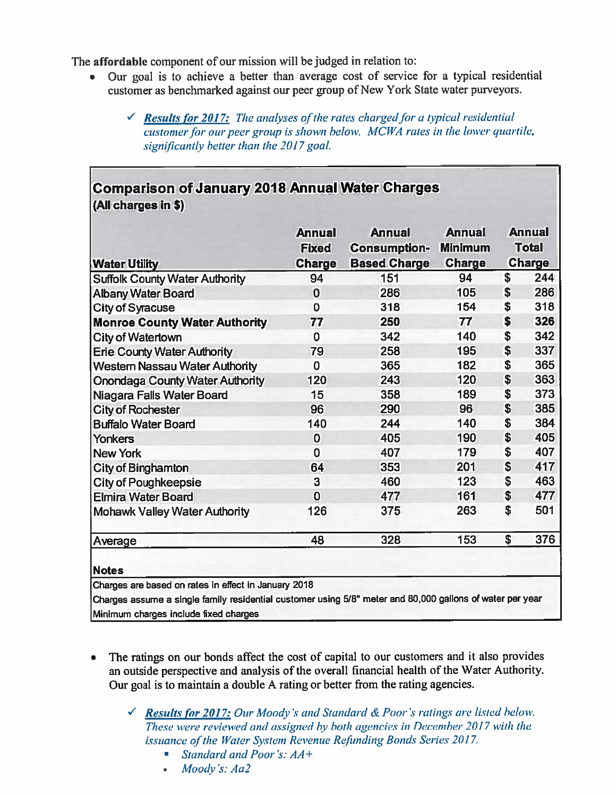The affordable component of our mission will be judged in relation to:

- Our goal is to achieve a better than average cost of service for a typical residential customer as benchmarked against our peer group of New York State water purveyors.
	- $\checkmark$  Results for 2017: The analyses of the rates charged for a typical residential customer for our peer group is shown below. MCWA rates in the lower quartile, significantly better than the 2017 goal.

| <b>Water Utility</b>                   | <b>Annual</b><br><b>Fixed</b><br><b>Charge</b> | <b>Annual</b><br><b>Consumption-</b><br><b>Based Charge</b> | <b>Annual</b><br><b>Minimum</b><br><b>Charge</b> | <b>Annual</b><br><b>Total</b><br>Charge |
|----------------------------------------|------------------------------------------------|-------------------------------------------------------------|--------------------------------------------------|-----------------------------------------|
| <b>Suffolk County Water Authority</b>  | 94                                             | 151                                                         | 94                                               | \$<br>244                               |
| <b>Albany Water Board</b>              | 0                                              | 286                                                         | 105                                              | \$<br>286                               |
| <b>City of Syracuse</b>                | $\mathbf 0$                                    | 318                                                         | 154                                              | \$<br>318                               |
| <b>Monroe County Water Authority</b>   | 77                                             | 250                                                         | 77                                               | \$<br>326                               |
| <b>City of Watertown</b>               | $\overline{0}$                                 | 342                                                         | 140                                              | \$<br>342                               |
| <b>Erie County Water Authority</b>     | 79                                             | 258                                                         | 195                                              | \$<br>337                               |
| <b>Western Nassau Water Authority</b>  | $\mathbf 0$                                    | 365                                                         | 182                                              | \$<br>365                               |
| <b>Onondaga County Water Authority</b> | 120                                            | 243                                                         | 120                                              | \$<br>363                               |
| Niagara Falls Water Board              | 15                                             | 358                                                         | 189                                              | \$<br>373                               |
| <b>City of Rochester</b>               | 96                                             | 290                                                         | 96                                               | \$<br>385                               |
| <b>Buffalo Water Board</b>             | 140                                            | 244                                                         | 140                                              | \$<br>384                               |
| Yonkers                                | 0                                              | 405                                                         | 190                                              | \$<br>405                               |
| <b>New York</b>                        | $\mathbf 0$                                    | 407                                                         | 179                                              | \$<br>407                               |
| <b>City of Binghamton</b>              | 64                                             | 353                                                         | 201                                              | \$<br>417                               |
| <b>City of Poughkeepsie</b>            | 3                                              | 460                                                         | 123                                              | \$<br>463                               |
| <b>Elmira Water Board</b>              | $\overline{0}$                                 | 477                                                         | 161                                              | \$<br>477                               |
| <b>Mohawk Valley Water Authority</b>   | 126                                            | 375                                                         | 263                                              | \$<br>501                               |
|                                        | 48                                             | 328                                                         | 153                                              | \$<br>376                               |

- The ratings on our bonds affect the cost of capital to our customers and it also provides an outside perspective and analysis of the overall financial health of the Water Authority. Our goal is to maintain a double A rating or better from the rating agencies.
	- $\checkmark$  Results for 2017: Our Moody's and Standard & Poor's ratings are listed below. These were reviewed and assigned by both agencies in December 2017 with the issuance of the Water System Revenue Refunding Bonds Series 2017.
		- Standard and Poor's: AA+  $\overline{\phantom{a}}$
		- Moody's: Aa2 ٠